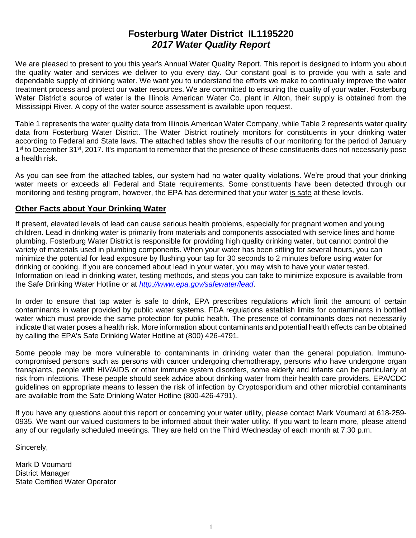# **Fosterburg Water District IL1195220** *2017 Water Quality Report*

We are pleased to present to you this year's Annual Water Quality Report. This report is designed to inform you about the quality water and services we deliver to you every day. Our constant goal is to provide you with a safe and dependable supply of drinking water. We want you to understand the efforts we make to continually improve the water treatment process and protect our water resources. We are committed to ensuring the quality of your water. Fosterburg Water District's source of water is the Illinois American Water Co. plant in Alton, their supply is obtained from the Mississippi River. A copy of the water source assessment is available upon request.

Table 1 represents the water quality data from Illinois American Water Company, while Table 2 represents water quality data from Fosterburg Water District. The Water District routinely monitors for constituents in your drinking water according to Federal and State laws. The attached tables show the results of our monitoring for the period of January 1<sup>st</sup> to December 31<sup>st</sup>, 2017. It's important to remember that the presence of these constituents does not necessarily pose a health risk.

As you can see from the attached tables, our system had no water quality violations. We're proud that your drinking water meets or exceeds all Federal and State requirements. Some constituents have been detected through our monitoring and testing program, however, the EPA has determined that your water is safe at these levels.

## **Other Facts about Your Drinking Water**

If present, elevated levels of lead can cause serious health problems, especially for pregnant women and young children. Lead in drinking water is primarily from materials and components associated with service lines and home plumbing. Fosterburg Water District is responsible for providing high quality drinking water, but cannot control the variety of materials used in plumbing components. When your water has been sitting for several hours, you can minimize the potential for lead exposure by flushing your tap for 30 seconds to 2 minutes before using water for drinking or cooking. If you are concerned about lead in your water, you may wish to have your water tested. Information on lead in drinking water, testing methods, and steps you can take to minimize exposure is available from the Safe Drinking Water Hotline or at *<http://www.epa.gov/safewater/lead>*.

In order to ensure that tap water is safe to drink, EPA prescribes regulations which limit the amount of certain contaminants in water provided by public water systems. FDA regulations establish limits for contaminants in bottled water which must provide the same protection for public health. The presence of contaminants does not necessarily indicate that water poses a health risk. More information about contaminants and potential health effects can be obtained by calling the EPA's Safe Drinking Water Hotline at (800) 426-4791.

Some people may be more vulnerable to contaminants in drinking water than the general population. Immunocompromised persons such as persons with cancer undergoing chemotherapy, persons who have undergone organ transplants, people with HIV/AIDS or other immune system disorders, some elderly and infants can be particularly at risk from infections. These people should seek advice about drinking water from their health care providers. EPA/CDC guidelines on appropriate means to lessen the risk of infection by Cryptosporidium and other microbial contaminants are available from the Safe Drinking Water Hotline (800-426-4791).

If you have any questions about this report or concerning your water utility, please contact Mark Voumard at 618-259- 0935. We want our valued customers to be informed about their water utility. If you want to learn more, please attend any of our regularly scheduled meetings. They are held on the Third Wednesday of each month at 7:30 p.m.

Sincerely,

Mark D Voumard District Manager State Certified Water Operator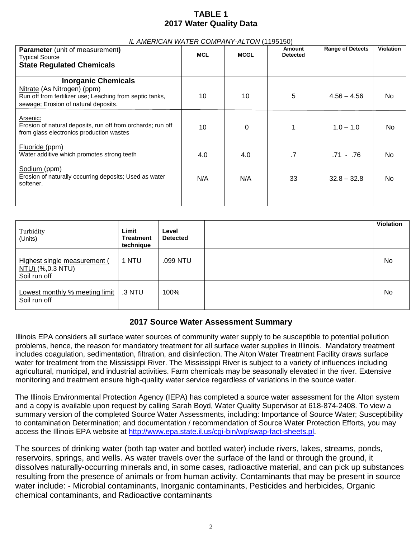# **TABLE 1 2017 Water Quality Data**

| <b>Parameter</b> (unit of measurement)<br>Typical Source                                                                                                      | <b>MCL</b> | <b>MCGL</b> | Amount<br><b>Detected</b> | <b>Range of Detects</b> | <b>Violation</b> |
|---------------------------------------------------------------------------------------------------------------------------------------------------------------|------------|-------------|---------------------------|-------------------------|------------------|
| <b>State Regulated Chemicals</b>                                                                                                                              |            |             |                           |                         |                  |
| <b>Inorganic Chemicals</b><br>Nitrate (As Nitrogen) (ppm)<br>Run off from fertilizer use; Leaching from septic tanks,<br>sewage; Erosion of natural deposits. | 10         | 10          | 5                         | $4.56 - 4.56$           | No.              |
| Arsenic:<br>Erosion of natural deposits, run off from orchards; run off<br>from glass electronics production wastes                                           | 10         | 0           |                           | $1.0 - 1.0$             | No.              |
| Fluoride (ppm)<br>Water additive which promotes strong teeth                                                                                                  | 4.0        | 4.0         | .7                        | .71 - .76               | No.              |
| Sodium (ppm)<br>Erosion of naturally occurring deposits; Used as water<br>softener.                                                                           | N/A        | N/A         | 33                        | $32.8 - 32.8$           | No               |
|                                                                                                                                                               |            |             |                           |                         |                  |

### *IL AMERICAN WATER COMPANY-ALTON* (1195150)

| Turbidity<br>(Units)                                             | Limit<br><b>Treatment</b><br>technique | Level<br><b>Detected</b> | <b>Violation</b> |
|------------------------------------------------------------------|----------------------------------------|--------------------------|------------------|
| Highest single measurement (<br>NTU) (%,0.3 NTU)<br>Soil run off | 1 NTU                                  | .099 NTU                 | No               |
| Lowest monthly % meeting limit<br>Soil run off                   | .3 NTU                                 | 100%                     | No               |

## **2017 Source Water Assessment Summary**

Illinois EPA considers all surface water sources of community water supply to be susceptible to potential pollution problems, hence, the reason for mandatory treatment for all surface water supplies in Illinois. Mandatory treatment includes coagulation, sedimentation, filtration, and disinfection. The Alton Water Treatment Facility draws surface water for treatment from the Mississippi River. The Mississippi River is subject to a variety of influences including agricultural, municipal, and industrial activities. Farm chemicals may be seasonally elevated in the river. Extensive monitoring and treatment ensure high-quality water service regardless of variations in the source water.

The Illinois Environmental Protection Agency (IEPA) has completed a source water assessment for the Alton system and a copy is available upon request by calling Sarah Boyd, Water Quality Supervisor at 618-874-2408. To view a summary version of the completed Source Water Assessments, including: Importance of Source Water; Susceptibility to contamination Determination; and documentation / recommendation of Source Water Protection Efforts, you may access the Illinois EPA website at [http://www.epa.state.il.us/cgi-bin/wp/swap-fact-sheets.pl.](http://www.epa.state.il.us/cgi-bin/wp/swap-fact-sheets.pl)

The sources of drinking water (both tap water and bottled water) include rivers, lakes, streams, ponds, reservoirs, springs, and wells. As water travels over the surface of the land or through the ground, it dissolves naturally-occurring minerals and, in some cases, radioactive material, and can pick up substances resulting from the presence of animals or from human activity. Contaminants that may be present in source water include: - Microbial contaminants, Inorganic contaminants, Pesticides and herbicides, Organic chemical contaminants, and Radioactive contaminants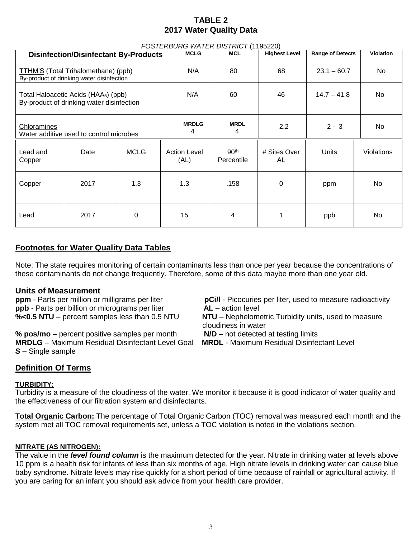## **TABLE 2 2017 Water Quality Data**

| FOSTERBURG WATER DISTRICT (1195220)                                                                   |      |             |                             |                  |                                |                         |                  |            |
|-------------------------------------------------------------------------------------------------------|------|-------------|-----------------------------|------------------|--------------------------------|-------------------------|------------------|------------|
| <b>Disinfection/Disinfectant By-Products</b>                                                          |      |             | <b>MCLG</b>                 | <b>MCL</b>       | <b>Highest Level</b>           | <b>Range of Detects</b> | <b>Violation</b> |            |
| TTHM'S (Total Trihalomethane) (ppb)<br>By-product of drinking water disinfection                      |      |             | N/A                         | 80               | 68                             | $23.1 - 60.7$           | No.              |            |
| <u> Total Haloacetic Acids</u> (HAA <sub>5</sub> ) (ppb)<br>By-product of drinking water disinfection |      | N/A         | 60                          | 46               | $14.7 - 41.8$                  | No.                     |                  |            |
| <b>Chloramines</b><br>Water additive used to control microbes                                         |      |             | <b>MRDLG</b><br>4           | <b>MRDL</b><br>4 | 2.2                            | $2 - 3$                 | No.              |            |
| Lead and<br>Copper                                                                                    | Date | <b>MCLG</b> | <b>Action Level</b><br>(AL) |                  | 90 <sup>th</sup><br>Percentile | # Sites Over<br>AL      | Units            | Violations |
| Copper                                                                                                | 2017 | 1.3         | 1.3                         |                  | .158                           | 0                       | ppm              | No         |
| Lead                                                                                                  | 2017 | $\Omega$    | 15                          |                  | 4                              |                         | ppb              | No         |

# **Footnotes for Water Quality Data Tables**

Note: The state requires monitoring of certain contaminants less than once per year because the concentrations of these contaminants do not change frequently. Therefore, some of this data maybe more than one year old.

## **Units of Measurement**

**ppm** - Parts per million or milligrams per liter **pCi/l** - Picocuries per liter, used to measure radioactivity **ppb** - Parts per billion or micrograms per liter **AL** – action level **%<0.5 NTU** – percent samples less than 0.5 NTU **NTU** – Nephelometric Turbidity units, used to measure

**% pos/mo** – percent positive samples per month **N/D** – not detected at testing limits **MRDLG** – Maximum Residual Disinfectant Level Goal **MRDL** - Maximum Residual Disinfectant Level **S** – Single sample

cloudiness in water

- 
- 

# **Definition Of Terms**

## **TURBIDITY:**

Turbidity is a measure of the cloudiness of the water. We monitor it because it is good indicator of water quality and the effectiveness of our filtration system and disinfectants.

**Total Organic Carbon:** The percentage of Total Organic Carbon (TOC) removal was measured each month and the system met all TOC removal requirements set, unless a TOC violation is noted in the violations section.

## **NITRATE (AS NITROGEN):**

The value in the *level found column* is the maximum detected for the year. Nitrate in drinking water at levels above 10 ppm is a health risk for infants of less than six months of age. High nitrate levels in drinking water can cause blue baby syndrome. Nitrate levels may rise quickly for a short period of time because of rainfall or agricultural activity. If you are caring for an infant you should ask advice from your health care provider.